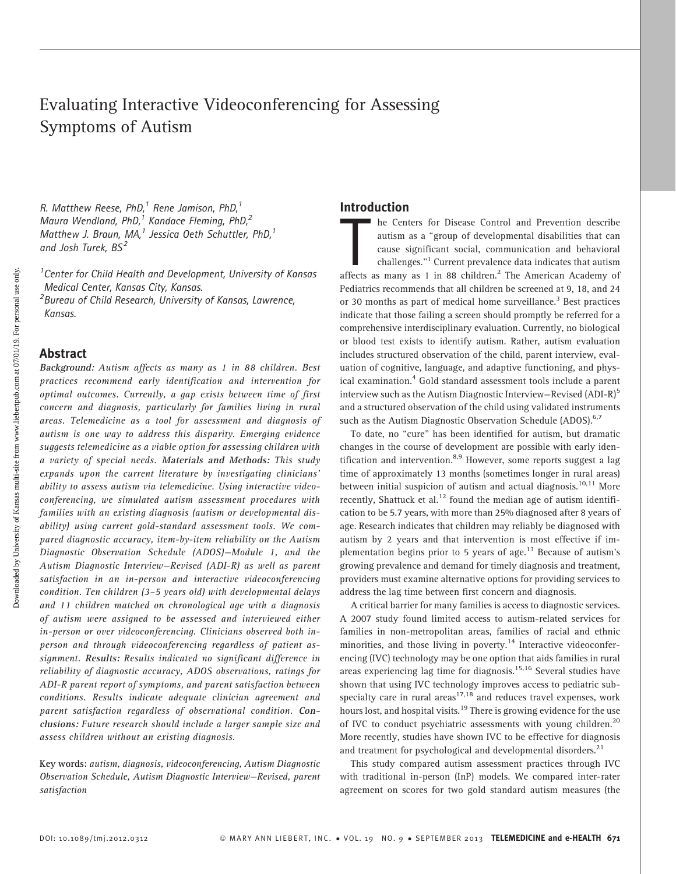# Evaluating Interactive Videoconferencing for Assessing Symptoms of Autism

R. Matthew Reese, PhD, $^1$  Rene Jamison, PhD, $^1$ Maura Wendland, PhD,<sup>1</sup> Kandace Fleming, PhD,<sup>2</sup> Matthew J. Braun, MA, $<sup>1</sup>$  Jessica Oeth Schuttler, PhD, $<sup>1</sup>$ </sup></sup> and Josh Turek,  $BS^2$ 

<sup>1</sup> Center for Child Health and Development, University of Kansas Medical Center, Kansas City, Kansas. <sup>2</sup> Bureau of Child Research, University of Kansas, Lawrence, Kansas.

# Abstract

Background: Autism affects as many as 1 in 88 children. Best practices recommend early identification and intervention for optimal outcomes. Currently, a gap exists between time of first concern and diagnosis, particularly for families living in rural areas. Telemedicine as a tool for assessment and diagnosis of autism is one way to address this disparity. Emerging evidence suggests telemedicine as a viable option for assessing children with a variety of special needs. Materials and Methods: This study expands upon the current literature by investigating clinicians' ability to assess autism via telemedicine. Using interactive videoconferencing, we simulated autism assessment procedures with families with an existing diagnosis (autism or developmental disability) using current gold-standard assessment tools. We compared diagnostic accuracy, item-by-item reliability on the Autism Diagnostic Observation Schedule (ADOS)—Module 1, and the Autism Diagnostic Interview—Revised (ADI-R) as well as parent satisfaction in an in-person and interactive videoconferencing condition. Ten children (3–5 years old) with developmental delays and 11 children matched on chronological age with a diagnosis of autism were assigned to be assessed and interviewed either in-person or over videoconferencing. Clinicians observed both inperson and through videoconferencing regardless of patient assignment. Results: Results indicated no significant difference in reliability of diagnostic accuracy, ADOS observations, ratings for ADI-R parent report of symptoms, and parent satisfaction between conditions. Results indicate adequate clinician agreement and parent satisfaction regardless of observational condition. Conclusions: Future research should include a larger sample size and assess children without an existing diagnosis.

Key words: autism, diagnosis, videoconferencing, Autism Diagnostic Observation Schedule, Autism Diagnostic Interview—Revised, parent satisfaction

# Introduction

Interaction and Prevention describe<br>he Centers for Disease Control and Prevention describe<br>autism as a "group of developmental disabilities that can<br>cause significant social, communication and behavioral<br>challenges."<sup>1</sup> Cu he Centers for Disease Control and Prevention describe autism as a ''group of developmental disabilities that can cause significant social, communication and behavioral challenges.''<sup>1</sup> Current prevalence data indicates that autism Pediatrics recommends that all children be screened at 9, 18, and 24 or 30 months as part of medical home surveillance.<sup>3</sup> Best practices indicate that those failing a screen should promptly be referred for a comprehensive interdisciplinary evaluation. Currently, no biological or blood test exists to identify autism. Rather, autism evaluation includes structured observation of the child, parent interview, evaluation of cognitive, language, and adaptive functioning, and physical examination.<sup>4</sup> Gold standard assessment tools include a parent interview such as the Autism Diagnostic Interview–Revised (ADI-R)<sup>5</sup> and a structured observation of the child using validated instruments such as the Autism Diagnostic Observation Schedule (ADOS).<sup>6,7</sup>

To date, no ''cure'' has been identified for autism, but dramatic changes in the course of development are possible with early identification and intervention.<sup>8,9</sup> However, some reports suggest a lag time of approximately 13 months (sometimes longer in rural areas) between initial suspicion of autism and actual diagnosis.<sup>10,11</sup> More recently, Shattuck et al.<sup>12</sup> found the median age of autism identification to be 5.7 years, with more than 25% diagnosed after 8 years of age. Research indicates that children may reliably be diagnosed with autism by 2 years and that intervention is most effective if implementation begins prior to 5 years of age.<sup>13</sup> Because of autism's growing prevalence and demand for timely diagnosis and treatment, providers must examine alternative options for providing services to address the lag time between first concern and diagnosis.

A critical barrier for many families is access to diagnostic services. A 2007 study found limited access to autism-related services for families in non-metropolitan areas, families of racial and ethnic minorities, and those living in poverty.<sup>14</sup> Interactive videoconferencing (IVC) technology may be one option that aids families in rural areas experiencing lag time for diagnosis.<sup>15,16</sup> Several studies have shown that using IVC technology improves access to pediatric subspecialty care in rural areas<sup>17,18</sup> and reduces travel expenses, work hours lost, and hospital visits.<sup>19</sup> There is growing evidence for the use of IVC to conduct psychiatric assessments with young children.<sup>20</sup> More recently, studies have shown IVC to be effective for diagnosis and treatment for psychological and developmental disorders.<sup>21</sup>

This study compared autism assessment practices through IVC with traditional in-person (InP) models. We compared inter-rater agreement on scores for two gold standard autism measures (the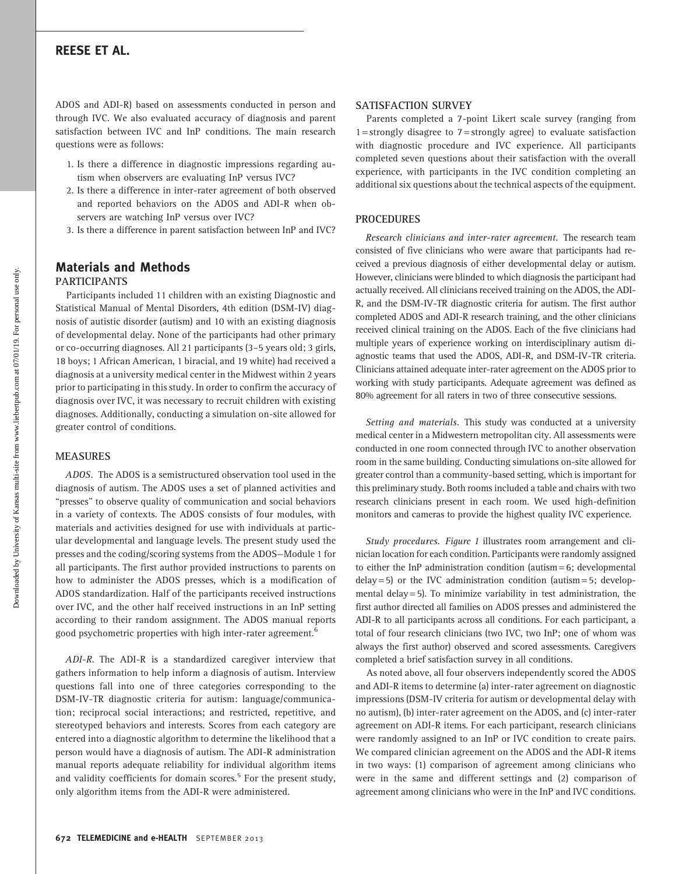# REESE ET AL.

ADOS and ADI-R) based on assessments conducted in person and through IVC. We also evaluated accuracy of diagnosis and parent satisfaction between IVC and InP conditions. The main research questions were as follows:

- 1. Is there a difference in diagnostic impressions regarding autism when observers are evaluating InP versus IVC?
- 2. Is there a difference in inter-rater agreement of both observed and reported behaviors on the ADOS and ADI-R when observers are watching InP versus over IVC?
- 3. Is there a difference in parent satisfaction between InP and IVC?

## Materials and Methods PARTICIPANTS

Participants included 11 children with an existing Diagnostic and Statistical Manual of Mental Disorders, 4th edition (DSM-IV) diagnosis of autistic disorder (autism) and 10 with an existing diagnosis of developmental delay. None of the participants had other primary or co-occurring diagnoses. All 21 participants (3–5 years old; 3 girls, 18 boys; 1 African American, 1 biracial, and 19 white) had received a diagnosis at a university medical center in the Midwest within 2 years prior to participating in this study. In order to confirm the accuracy of diagnosis over IVC, it was necessary to recruit children with existing diagnoses. Additionally, conducting a simulation on-site allowed for greater control of conditions.

#### MEASURES

ADOS. The ADOS is a semistructured observation tool used in the diagnosis of autism. The ADOS uses a set of planned activities and ''presses'' to observe quality of communication and social behaviors in a variety of contexts. The ADOS consists of four modules, with materials and activities designed for use with individuals at particular developmental and language levels. The present study used the presses and the coding/scoring systems from the ADOS—Module 1 for all participants. The first author provided instructions to parents on how to administer the ADOS presses, which is a modification of ADOS standardization. Half of the participants received instructions over IVC, and the other half received instructions in an InP setting according to their random assignment. The ADOS manual reports good psychometric properties with high inter-rater agreement.<sup>6</sup>

ADI-R. The ADI-R is a standardized caregiver interview that gathers information to help inform a diagnosis of autism. Interview questions fall into one of three categories corresponding to the DSM-IV-TR diagnostic criteria for autism: language/communication; reciprocal social interactions; and restricted, repetitive, and stereotyped behaviors and interests. Scores from each category are entered into a diagnostic algorithm to determine the likelihood that a person would have a diagnosis of autism. The ADI-R administration manual reports adequate reliability for individual algorithm items and validity coefficients for domain scores.<sup>5</sup> For the present study, only algorithm items from the ADI-R were administered.

#### SATISFACTION SURVEY

Parents completed a 7-point Likert scale survey (ranging from 1 = strongly disagree to 7 = strongly agree) to evaluate satisfaction with diagnostic procedure and IVC experience. All participants completed seven questions about their satisfaction with the overall experience, with participants in the IVC condition completing an additional six questions about the technical aspects of the equipment.

#### PROCEDURES

Research clinicians and inter-rater agreement. The research team consisted of five clinicians who were aware that participants had received a previous diagnosis of either developmental delay or autism. However, clinicians were blinded to which diagnosis the participant had actually received. All clinicians received training on the ADOS, the ADI-R, and the DSM-IV-TR diagnostic criteria for autism. The first author completed ADOS and ADI-R research training, and the other clinicians received clinical training on the ADOS. Each of the five clinicians had multiple years of experience working on interdisciplinary autism diagnostic teams that used the ADOS, ADI-R, and DSM-IV-TR criteria. Clinicians attained adequate inter-rater agreement on the ADOS prior to working with study participants. Adequate agreement was defined as 80% agreement for all raters in two of three consecutive sessions.

Setting and materials. This study was conducted at a university medical center in a Midwestern metropolitan city. All assessments were conducted in one room connected through IVC to another observation room in the same building. Conducting simulations on-site allowed for greater control than a community-based setting, which is important for this preliminary study. Both rooms included a table and chairs with two research clinicians present in each room. We used high-definition monitors and cameras to provide the highest quality IVC experience.

Study procedures. Figure 1 illustrates room arrangement and clinician location for each condition. Participants were randomly assigned to either the InP administration condition (autism = 6; developmental  $delay = 5$ ) or the IVC administration condition (autism = 5; developmental delay = 5). To minimize variability in test administration, the first author directed all families on ADOS presses and administered the ADI-R to all participants across all conditions. For each participant, a total of four research clinicians (two IVC, two InP; one of whom was always the first author) observed and scored assessments. Caregivers completed a brief satisfaction survey in all conditions.

As noted above, all four observers independently scored the ADOS and ADI-R items to determine (a) inter-rater agreement on diagnostic impressions (DSM-IV criteria for autism or developmental delay with no autism), (b) inter-rater agreement on the ADOS, and (c) inter-rater agreement on ADI-R items. For each participant, research clinicians were randomly assigned to an InP or IVC condition to create pairs. We compared clinician agreement on the ADOS and the ADI-R items in two ways: (1) comparison of agreement among clinicians who were in the same and different settings and (2) comparison of agreement among clinicians who were in the InP and IVC conditions.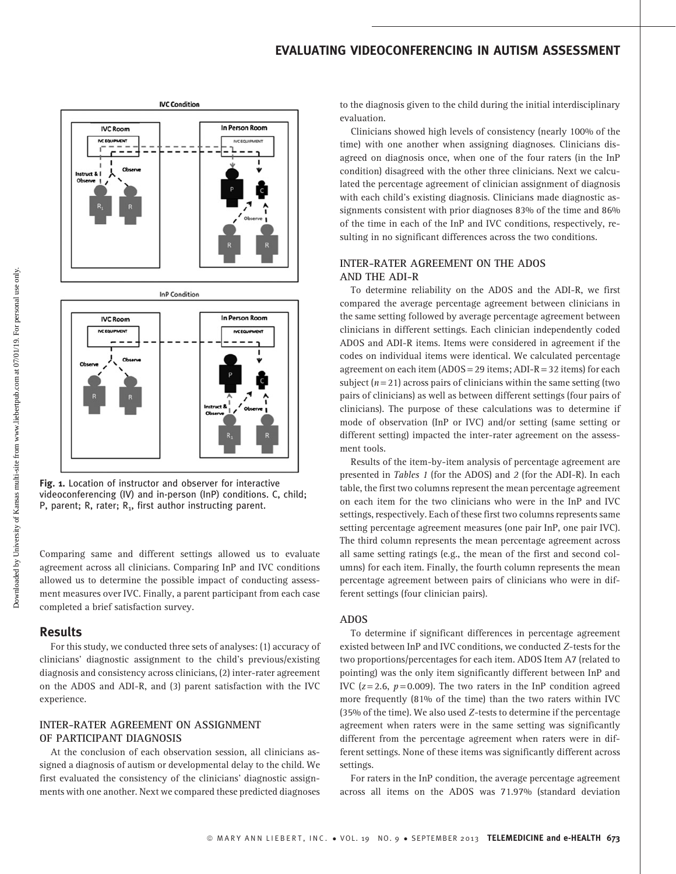# EVALUATING VIDEOCONFERENCING IN AUTISM ASSESSMENT



Fig. 1. Location of instructor and observer for interactive videoconferencing (IV) and in-person (InP) conditions. C, child; P, parent; R, rater;  $R_1$ , first author instructing parent.

Comparing same and different settings allowed us to evaluate agreement across all clinicians. Comparing InP and IVC conditions allowed us to determine the possible impact of conducting assessment measures over IVC. Finally, a parent participant from each case completed a brief satisfaction survey.

### Results

For this study, we conducted three sets of analyses: (1) accuracy of clinicians' diagnostic assignment to the child's previous/existing diagnosis and consistency across clinicians, (2) inter-rater agreement on the ADOS and ADI-R, and (3) parent satisfaction with the IVC experience.

# INTER-RATER AGREEMENT ON ASSIGNMENT OF PARTICIPANT DIAGNOSIS

At the conclusion of each observation session, all clinicians assigned a diagnosis of autism or developmental delay to the child. We first evaluated the consistency of the clinicians' diagnostic assignments with one another. Next we compared these predicted diagnoses

to the diagnosis given to the child during the initial interdisciplinary evaluation.

Clinicians showed high levels of consistency (nearly 100% of the time) with one another when assigning diagnoses. Clinicians disagreed on diagnosis once, when one of the four raters (in the InP condition) disagreed with the other three clinicians. Next we calculated the percentage agreement of clinician assignment of diagnosis with each child's existing diagnosis. Clinicians made diagnostic assignments consistent with prior diagnoses 83% of the time and 86% of the time in each of the InP and IVC conditions, respectively, resulting in no significant differences across the two conditions.

### INTER-RATER AGREEMENT ON THE ADOS AND THE ADI-R

To determine reliability on the ADOS and the ADI-R, we first compared the average percentage agreement between clinicians in the same setting followed by average percentage agreement between clinicians in different settings. Each clinician independently coded ADOS and ADI-R items. Items were considered in agreement if the codes on individual items were identical. We calculated percentage agreement on each item (ADOS = 29 items; ADI-R = 32 items) for each subject  $(n=21)$  across pairs of clinicians within the same setting (two pairs of clinicians) as well as between different settings (four pairs of clinicians). The purpose of these calculations was to determine if mode of observation (InP or IVC) and/or setting (same setting or different setting) impacted the inter-rater agreement on the assessment tools.

Results of the item-by-item analysis of percentage agreement are presented in Tables 1 (for the ADOS) and 2 (for the ADI-R). In each table, the first two columns represent the mean percentage agreement on each item for the two clinicians who were in the InP and IVC settings, respectively. Each of these first two columns represents same setting percentage agreement measures (one pair InP, one pair IVC). The third column represents the mean percentage agreement across all same setting ratings (e.g., the mean of the first and second columns) for each item. Finally, the fourth column represents the mean percentage agreement between pairs of clinicians who were in different settings (four clinician pairs).

#### ADOS

To determine if significant differences in percentage agreement existed between InP and IVC conditions, we conducted Z-tests for the two proportions/percentages for each item. ADOS Item A7 (related to pointing) was the only item significantly different between InP and IVC ( $z = 2.6$ ,  $p = 0.009$ ). The two raters in the InP condition agreed more frequently (81% of the time) than the two raters within IVC (35% of the time). We also used Z-tests to determine if the percentage agreement when raters were in the same setting was significantly different from the percentage agreement when raters were in different settings. None of these items was significantly different across settings.

For raters in the InP condition, the average percentage agreement across all items on the ADOS was 71.97% (standard deviation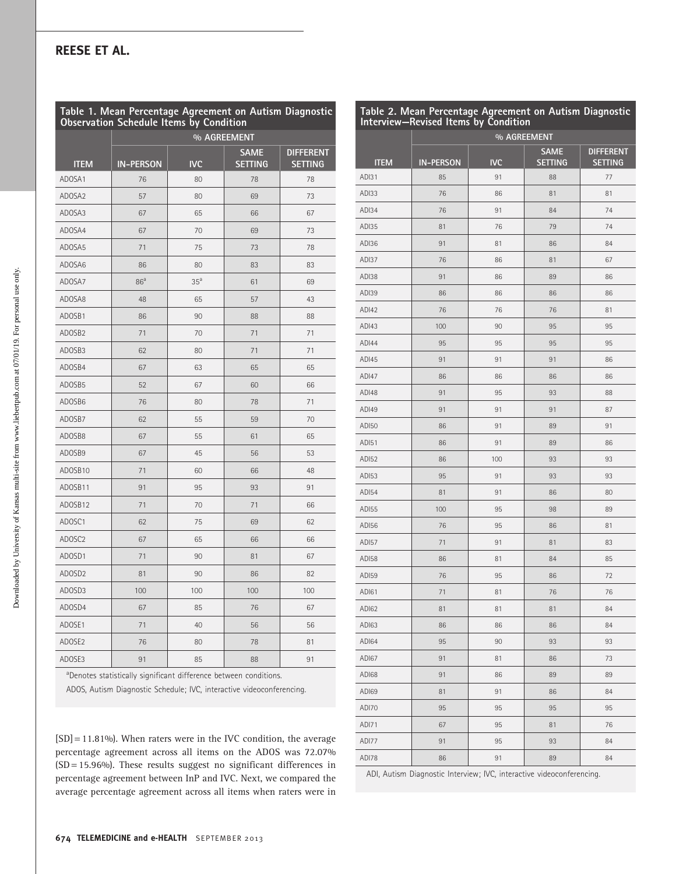| Table 1. Mean Percentage Agreement on Autism Diagnostic<br>Observation Schedule Items by Condition |                  |                 |                               |                                    |  |
|----------------------------------------------------------------------------------------------------|------------------|-----------------|-------------------------------|------------------------------------|--|
|                                                                                                    | % AGREEMENT      |                 |                               |                                    |  |
| <b>ITEM</b>                                                                                        | <b>IN-PERSON</b> | <b>IVC</b>      | <b>SAME</b><br><b>SETTING</b> | <b>DIFFERENT</b><br><b>SETTING</b> |  |
| ADOSA1                                                                                             | 76               | 80              | 78                            | 78                                 |  |
| ADOSA2                                                                                             | 57               | 80              | 69                            | 73                                 |  |
| ADOSA3                                                                                             | 67               | 65              | 66                            | 67                                 |  |
| ADOSA4                                                                                             | 67               | 70              | 69                            | 73                                 |  |
| ADOSA5                                                                                             | 71               | 75              | 73                            | 78                                 |  |
| ADOSA6                                                                                             | 86               | 80              | 83                            | 83                                 |  |
| ADOSA7                                                                                             | 86 <sup>3</sup>  | 35 <sup>a</sup> | 61                            | 69                                 |  |
| ADOSA8                                                                                             | 48               | 65              | 57                            | 43                                 |  |
| ADOSB1                                                                                             | 86               | 90              | 88                            | 88                                 |  |
| ADOSB2                                                                                             | 71               | 70              | 71                            | 71                                 |  |
| ADOSB3                                                                                             | 62               | 80              | 71                            | 71                                 |  |
| ADOSB4                                                                                             | 67               | 63              | 65                            | 65                                 |  |
| ADOSB5                                                                                             | 52               | 67              | 60                            | 66                                 |  |
| ADOSB6                                                                                             | 76               | 80              | 78                            | 71                                 |  |
| ADOSB7                                                                                             | 62               | 55              | 59                            | 70                                 |  |
| ADOSB8                                                                                             | 67               | 55              | 61                            | 65                                 |  |
| ADOSB9                                                                                             | 67               | 45              | 56                            | 53                                 |  |
| ADOSB10                                                                                            | 71               | 60              | 66                            | 48                                 |  |
| ADOSB11                                                                                            | 91               | 95              | 93                            | 91                                 |  |
| ADOSB12                                                                                            | 71               | 70              | 71                            | 66                                 |  |
| ADOSC1                                                                                             | 62               | 75              | 69                            | 62                                 |  |
| ADOSC <sub>2</sub>                                                                                 | 67               | 65              | 66                            | 66                                 |  |
| ADOSD1                                                                                             | 71               | 90              | 81                            | 67                                 |  |
| ADOSD <sub>2</sub>                                                                                 | 81               | 90              | 86                            | 82                                 |  |
| ADOSD3                                                                                             | 100              | 100             | 100                           | 100                                |  |
| ADOSD4                                                                                             | 67               | 85              | 76                            | 67                                 |  |
| ADOSE1                                                                                             | 71               | 40              | 56                            | 56                                 |  |
| ADOSE2                                                                                             | 76               | 80              | 78                            | 81                                 |  |
| ADOSE3                                                                                             | 91               | 85              | 88                            | 91                                 |  |

| <sup>a</sup> Denotes statistically significant difference between conditions. |  |  |  |
|-------------------------------------------------------------------------------|--|--|--|
|                                                                               |  |  |  |

ADOS, Autism Diagnostic Schedule; IVC, interactive videoconferencing.

[SD] = 11.81%). When raters were in the IVC condition, the average percentage agreement across all items on the ADOS was 72.07% (SD = 15.96%). These results suggest no significant differences in percentage agreement between InP and IVC. Next, we compared the average percentage agreement across all items when raters were in

| Table 2. Mean Percentage Agreement on Autism Diagnostic<br>Interview—Revised Items by Condition |                  |            |                               |                                    |  |  |
|-------------------------------------------------------------------------------------------------|------------------|------------|-------------------------------|------------------------------------|--|--|
|                                                                                                 | % AGREEMENT      |            |                               |                                    |  |  |
| <b>ITEM</b>                                                                                     | <b>IN-PERSON</b> | <b>IVC</b> | <b>SAME</b><br><b>SETTING</b> | <b>DIFFERENT</b><br><b>SETTING</b> |  |  |
| ADI31                                                                                           | 85               | 91         | 88                            | 77                                 |  |  |
| ADI33                                                                                           | 76               | 86         | 81                            | 81                                 |  |  |
| ADI34                                                                                           | 76               | 91         | 84                            | 74                                 |  |  |
| ADI35                                                                                           | 81               | 76         | 79                            | 74                                 |  |  |
| ADI36                                                                                           | 91               | 81         | 86                            | 84                                 |  |  |
| ADI37                                                                                           | 76               | 86         | 81                            | 67                                 |  |  |
| ADI38                                                                                           | 91               | 86         | 89                            | 86                                 |  |  |
| ADI39                                                                                           | 86               | 86         | 86                            | 86                                 |  |  |
| ADI42                                                                                           | 76               | 76         | 76                            | 81                                 |  |  |
| ADI43                                                                                           | 100              | 90         | 95                            | 95                                 |  |  |
| ADI44                                                                                           | 95               | 95         | 95                            | 95                                 |  |  |
| ADI45                                                                                           | 91               | 91         | 91                            | 86                                 |  |  |
| ADI47                                                                                           | 86               | 86         | 86                            | 86                                 |  |  |
| ADI48                                                                                           | 91               | 95         | 93                            | 88                                 |  |  |
| ADI49                                                                                           | 91               | 91         | 91                            | 87                                 |  |  |
| ADI50                                                                                           | 86               | 91         | 89                            | 91                                 |  |  |
| ADI51                                                                                           | 86               | 91         | 89                            | 86                                 |  |  |
| ADI52                                                                                           | 86               | 100        | 93                            | 93                                 |  |  |
| ADI <sub>53</sub>                                                                               | 95               | 91         | 93                            | 93                                 |  |  |
| ADI54                                                                                           | 81               | 91         | 86                            | 80                                 |  |  |
| AD155                                                                                           | 100              | 95         | 98                            | 89                                 |  |  |
| ADI56                                                                                           | 76               | 95         | 86                            | 81                                 |  |  |
| ADI57                                                                                           | 71               | 91         | 81                            | 83                                 |  |  |
| <b>ADI58</b>                                                                                    | 86               | 81         | 84                            | 85                                 |  |  |
| ADI59                                                                                           | 76               | 95         | 86                            | 72                                 |  |  |
| ADI61                                                                                           | 71               | 81         | 76                            | 76                                 |  |  |
| ADI62                                                                                           | 81               | 81         | 81                            | 84                                 |  |  |
| ADI63                                                                                           | 86               | 86         | 86                            | 84                                 |  |  |
| ADI64                                                                                           | 95               | 90         | 93                            | 93                                 |  |  |
| ADI67                                                                                           | 91               | 81         | 86                            | 73                                 |  |  |
| ADI68                                                                                           | 91               | 86         | 89                            | 89                                 |  |  |
| ADI69                                                                                           | 81               | 91         | 86                            | 84                                 |  |  |
| ADI70                                                                                           | 95               | 95         | 95                            | 95                                 |  |  |
| ADI71                                                                                           | 67               | 95         | 81                            | 76                                 |  |  |
| ADI77                                                                                           | 91               | 95         | 93                            | 84                                 |  |  |
| ADI78                                                                                           | 86               | 91         | 89                            | 84                                 |  |  |

ADI, Autism Diagnostic Interview; IVC, interactive videoconferencing.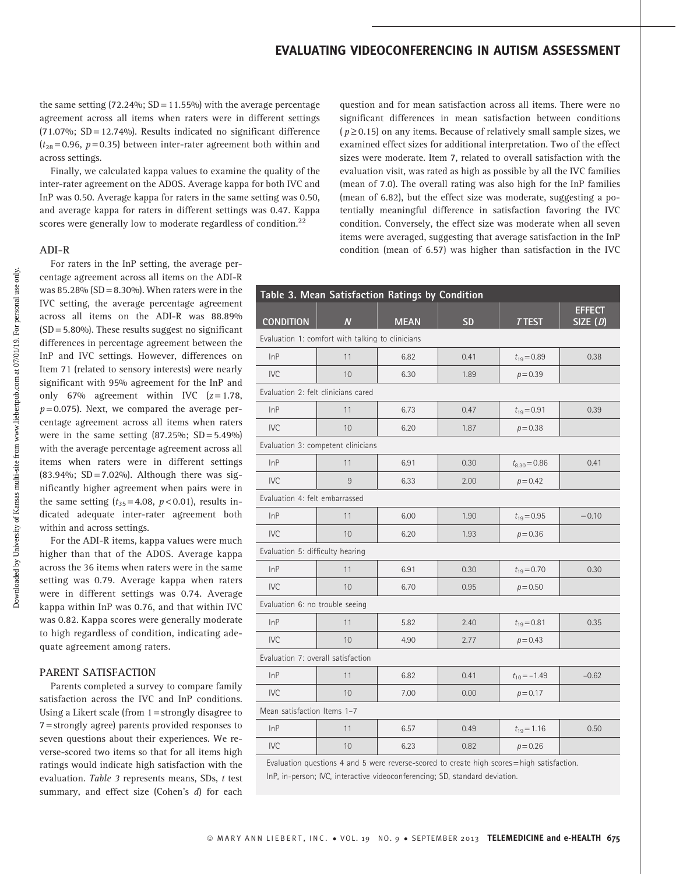# EVALUATING VIDEOCONFERENCING IN AUTISM ASSESSMENT

the same setting  $(72.24\%)$ ; SD = 11.55%) with the average percentage agreement across all items when raters were in different settings (71.07%;  $SD = 12.74\%$ ). Results indicated no significant difference  $(t_{28} = 0.96, p = 0.35)$  between inter-rater agreement both within and across settings.

Finally, we calculated kappa values to examine the quality of the inter-rater agreement on the ADOS. Average kappa for both IVC and InP was 0.50. Average kappa for raters in the same setting was 0.50, and average kappa for raters in different settings was 0.47. Kappa scores were generally low to moderate regardless of condition.<sup>22</sup>

#### ADI-R

For raters in the InP setting, the average percentage agreement across all items on the ADI-R was 85.28% (SD = 8.30%). When raters were in the IVC setting, the average percentage agreement across all items on the ADI-R was 88.89% (SD = 5.80%). These results suggest no significant differences in percentage agreement between the InP and IVC settings. However, differences on Item 71 (related to sensory interests) were nearly significant with 95% agreement for the InP and only 67% agreement within IVC  $(z=1.78,$  $p = 0.075$ ). Next, we compared the average percentage agreement across all items when raters were in the same setting  $(87.25\%; SD = 5.49\%)$ with the average percentage agreement across all items when raters were in different settings  $(83.94\%; SD = 7.02\%)$ . Although there was significantly higher agreement when pairs were in the same setting  $(t_{35} = 4.08, p < 0.01)$ , results indicated adequate inter-rater agreement both within and across settings.

For the ADI-R items, kappa values were much higher than that of the ADOS. Average kappa across the 36 items when raters were in the same setting was 0.79. Average kappa when raters were in different settings was 0.74. Average kappa within InP was 0.76, and that within IVC was 0.82. Kappa scores were generally moderate to high regardless of condition, indicating adequate agreement among raters.

#### PARENT SATISFACTION

Parents completed a survey to compare family satisfaction across the IVC and InP conditions. Using a Likert scale (from 1 = strongly disagree to 7 = strongly agree) parents provided responses to seven questions about their experiences. We reverse-scored two items so that for all items high ratings would indicate high satisfaction with the evaluation. Table 3 represents means, SDs, t test summary, and effect size (Cohen's d) for each

question and for mean satisfaction across all items. There were no significant differences in mean satisfaction between conditions ( $p \ge 0.15$ ) on any items. Because of relatively small sample sizes, we examined effect sizes for additional interpretation. Two of the effect sizes were moderate. Item 7, related to overall satisfaction with the evaluation visit, was rated as high as possible by all the IVC families (mean of 7.0). The overall rating was also high for the InP families (mean of 6.82), but the effect size was moderate, suggesting a potentially meaningful difference in satisfaction favoring the IVC condition. Conversely, the effect size was moderate when all seven items were averaged, suggesting that average satisfaction in the InP condition (mean of 6.57) was higher than satisfaction in the IVC

| Table 3. Mean Satisfaction Ratings by Condition |                                                  |             |           |                   |                             |  |
|-------------------------------------------------|--------------------------------------------------|-------------|-----------|-------------------|-----------------------------|--|
| <b>CONDITION</b>                                | $\overline{N}$                                   | <b>MEAN</b> | <b>SD</b> | <b>TTEST</b>      | <b>EFFECT</b><br>SIZE $(D)$ |  |
|                                                 | Evaluation 1: comfort with talking to clinicians |             |           |                   |                             |  |
| InP                                             | 11                                               | 6.82        | 0.41      | $t_{19} = 0.89$   | 0.38                        |  |
| <b>IVC</b>                                      | 10                                               | 6.30        | 1.89      | $p = 0.39$        |                             |  |
|                                                 | Evaluation 2: felt clinicians cared              |             |           |                   |                             |  |
| InP                                             | 11                                               | 6.73        | 0.47      | $t_{19} = 0.91$   | 0.39                        |  |
| <b>IVC</b>                                      | 10                                               | 6.20        | 1.87      | $p = 0.38$        |                             |  |
|                                                 | Evaluation 3: competent clinicians               |             |           |                   |                             |  |
| InP                                             | 11                                               | 6.91        | 0.30      | $t_{8.30} = 0.86$ | 0.41                        |  |
| <b>IVC</b>                                      | 9                                                | 6.33        | 2.00      | $p = 0.42$        |                             |  |
| Evaluation 4: felt embarrassed                  |                                                  |             |           |                   |                             |  |
| InP                                             | 11                                               | 6.00        | 1.90      | $t_{19} = 0.95$   | $-0.10$                     |  |
| <b>IVC</b>                                      | 10                                               | 6.20        | 1.93      | $p = 0.36$        |                             |  |
| Evaluation 5: difficulty hearing                |                                                  |             |           |                   |                             |  |
| InP                                             | 11                                               | 6.91        | 0.30      | $t_{19} = 0.70$   | 0.30                        |  |
| <b>IVC</b>                                      | 10                                               | 6.70        | 0.95      | $p = 0.50$        |                             |  |
| Evaluation 6: no trouble seeing                 |                                                  |             |           |                   |                             |  |
| InP                                             | 11                                               | 5.82        | 2.40      | $t_{19} = 0.81$   | 0.35                        |  |
| IVC.                                            | 10                                               | 4.90        | 2.77      | $p = 0.43$        |                             |  |
| Evaluation 7: overall satisfaction              |                                                  |             |           |                   |                             |  |
| InP                                             | 11                                               | 6.82        | 0.41      | $t_{10} = -1.49$  | $-0.62$                     |  |
| <b>IVC</b>                                      | 10                                               | 7.00        | 0.00      | $p = 0.17$        |                             |  |
| Mean satisfaction Items 1-7                     |                                                  |             |           |                   |                             |  |
| InP                                             | 11                                               | 6.57        | 0.49      | $t_{19} = 1.16$   | 0.50                        |  |
| <b>IVC</b>                                      | 10                                               | 6.23        | 0.82      | $p = 0.26$        |                             |  |
|                                                 |                                                  |             |           |                   |                             |  |

Evaluation questions 4 and 5 were reverse-scored to create high scores = high satisfaction. InP, in-person; IVC, interactive videoconferencing; SD, standard deviation.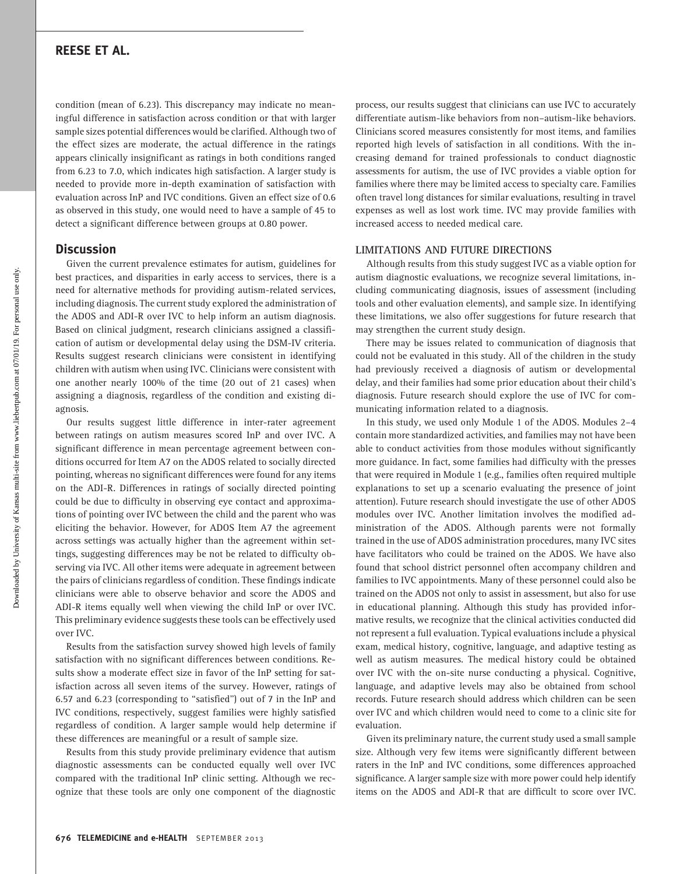# REESE ET AL.

condition (mean of 6.23). This discrepancy may indicate no meaningful difference in satisfaction across condition or that with larger sample sizes potential differences would be clarified. Although two of the effect sizes are moderate, the actual difference in the ratings appears clinically insignificant as ratings in both conditions ranged from 6.23 to 7.0, which indicates high satisfaction. A larger study is needed to provide more in-depth examination of satisfaction with evaluation across InP and IVC conditions. Given an effect size of 0.6 as observed in this study, one would need to have a sample of 45 to detect a significant difference between groups at 0.80 power.

# **Discussion**

Given the current prevalence estimates for autism, guidelines for best practices, and disparities in early access to services, there is a need for alternative methods for providing autism-related services, including diagnosis. The current study explored the administration of the ADOS and ADI-R over IVC to help inform an autism diagnosis. Based on clinical judgment, research clinicians assigned a classification of autism or developmental delay using the DSM-IV criteria. Results suggest research clinicians were consistent in identifying children with autism when using IVC. Clinicians were consistent with one another nearly 100% of the time (20 out of 21 cases) when assigning a diagnosis, regardless of the condition and existing diagnosis.

Our results suggest little difference in inter-rater agreement between ratings on autism measures scored InP and over IVC. A significant difference in mean percentage agreement between conditions occurred for Item A7 on the ADOS related to socially directed pointing, whereas no significant differences were found for any items on the ADI-R. Differences in ratings of socially directed pointing could be due to difficulty in observing eye contact and approximations of pointing over IVC between the child and the parent who was eliciting the behavior. However, for ADOS Item A7 the agreement across settings was actually higher than the agreement within settings, suggesting differences may be not be related to difficulty observing via IVC. All other items were adequate in agreement between the pairs of clinicians regardless of condition. These findings indicate clinicians were able to observe behavior and score the ADOS and ADI-R items equally well when viewing the child InP or over IVC. This preliminary evidence suggests these tools can be effectively used over IVC.

Results from the satisfaction survey showed high levels of family satisfaction with no significant differences between conditions. Results show a moderate effect size in favor of the InP setting for satisfaction across all seven items of the survey. However, ratings of 6.57 and 6.23 (corresponding to ''satisfied'') out of 7 in the InP and IVC conditions, respectively, suggest families were highly satisfied regardless of condition. A larger sample would help determine if these differences are meaningful or a result of sample size.

Results from this study provide preliminary evidence that autism diagnostic assessments can be conducted equally well over IVC compared with the traditional InP clinic setting. Although we recognize that these tools are only one component of the diagnostic

process, our results suggest that clinicians can use IVC to accurately differentiate autism-like behaviors from non–autism-like behaviors. Clinicians scored measures consistently for most items, and families reported high levels of satisfaction in all conditions. With the increasing demand for trained professionals to conduct diagnostic assessments for autism, the use of IVC provides a viable option for families where there may be limited access to specialty care. Families often travel long distances for similar evaluations, resulting in travel expenses as well as lost work time. IVC may provide families with increased access to needed medical care.

#### LIMITATIONS AND FUTURE DIRECTIONS

Although results from this study suggest IVC as a viable option for autism diagnostic evaluations, we recognize several limitations, including communicating diagnosis, issues of assessment (including tools and other evaluation elements), and sample size. In identifying these limitations, we also offer suggestions for future research that may strengthen the current study design.

There may be issues related to communication of diagnosis that could not be evaluated in this study. All of the children in the study had previously received a diagnosis of autism or developmental delay, and their families had some prior education about their child's diagnosis. Future research should explore the use of IVC for communicating information related to a diagnosis.

In this study, we used only Module 1 of the ADOS. Modules 2–4 contain more standardized activities, and families may not have been able to conduct activities from those modules without significantly more guidance. In fact, some families had difficulty with the presses that were required in Module 1 (e.g., families often required multiple explanations to set up a scenario evaluating the presence of joint attention). Future research should investigate the use of other ADOS modules over IVC. Another limitation involves the modified administration of the ADOS. Although parents were not formally trained in the use of ADOS administration procedures, many IVC sites have facilitators who could be trained on the ADOS. We have also found that school district personnel often accompany children and families to IVC appointments. Many of these personnel could also be trained on the ADOS not only to assist in assessment, but also for use in educational planning. Although this study has provided informative results, we recognize that the clinical activities conducted did not represent a full evaluation. Typical evaluations include a physical exam, medical history, cognitive, language, and adaptive testing as well as autism measures. The medical history could be obtained over IVC with the on-site nurse conducting a physical. Cognitive, language, and adaptive levels may also be obtained from school records. Future research should address which children can be seen over IVC and which children would need to come to a clinic site for evaluation.

Given its preliminary nature, the current study used a small sample size. Although very few items were significantly different between raters in the InP and IVC conditions, some differences approached significance. A larger sample size with more power could help identify items on the ADOS and ADI-R that are difficult to score over IVC.